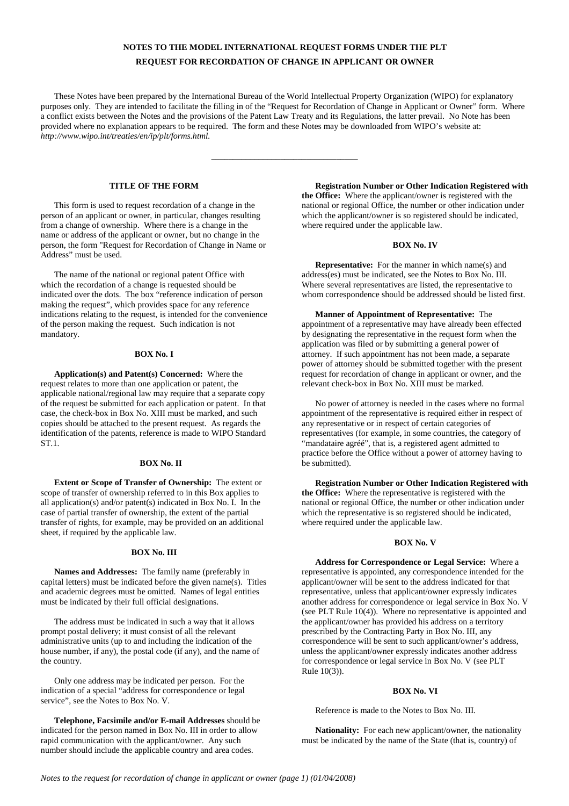# **NOTES TO THE MODEL INTERNATIONAL REQUEST FORMS UNDER THE PLT REQUEST FOR RECORDATION OF CHANGE IN APPLICANT OR OWNER**

These Notes have been prepared by the International Bureau of the World Intellectual Property Organization (WIPO) for explanatory purposes only. They are intended to facilitate the filling in of the "Request for Recordation of Change in Applicant or Owner" form. Where a conflict exists between the Notes and the provisions of the Patent Law Treaty and its Regulations, the latter prevail. No Note has been provided where no explanation appears to be required. The form and these Notes may be downloaded from WIPO's website at: *http://www.wipo.int/treaties/en/ip/plt/forms.html.*

\_\_\_\_\_\_\_\_\_\_\_\_\_\_\_\_\_\_\_\_\_\_\_\_\_\_\_\_\_\_\_\_\_\_

# **TITLE OF THE FORM**

This form is used to request recordation of a change in the person of an applicant or owner, in particular, changes resulting from a change of ownership. Where there is a change in the name or address of the applicant or owner, but no change in the person, the form "Request for Recordation of Change in Name or Address" must be used.

The name of the national or regional patent Office with which the recordation of a change is requested should be indicated over the dots. The box "reference indication of person making the request", which provides space for any reference indications relating to the request, is intended for the convenience of the person making the request. Such indication is not mandatory.

### **BOX No. I**

**Application(s) and Patent(s) Concerned:** Where the request relates to more than one application or patent, the applicable national/regional law may require that a separate copy of the request be submitted for each application or patent. In that case, the check-box in Box No. XIII must be marked, and such copies should be attached to the present request. As regards the identification of the patents, reference is made to WIPO Standard ST.1.

### **BOX No. II**

**Extent or Scope of Transfer of Ownership:** The extent or scope of transfer of ownership referred to in this Box applies to all application(s) and/or patent(s) indicated in Box No. I. In the case of partial transfer of ownership, the extent of the partial transfer of rights, for example, may be provided on an additional sheet, if required by the applicable law.

### **BOX No. III**

**Names and Addresses:** The family name (preferably in capital letters) must be indicated before the given name(s). Titles and academic degrees must be omitted. Names of legal entities must be indicated by their full official designations.

The address must be indicated in such a way that it allows prompt postal delivery; it must consist of all the relevant administrative units (up to and including the indication of the house number, if any), the postal code (if any), and the name of the country.

Only one address may be indicated per person. For the indication of a special "address for correspondence or legal service", see the Notes to Box No. V.

**Telephone, Facsimile and/or E-mail Addresses** should be indicated for the person named in Box No. III in order to allow rapid communication with the applicant/owner. Any such number should include the applicable country and area codes.

**Registration Number or Other Indication Registered with the Office:** Where the applicant/owner is registered with the national or regional Office, the number or other indication under which the applicant/owner is so registered should be indicated, where required under the applicable law.

# **BOX No. IV**

**Representative:** For the manner in which name(s) and address(es) must be indicated, see the Notes to Box No. III. Where several representatives are listed, the representative to whom correspondence should be addressed should be listed first.

**Manner of Appointment of Representative:** The appointment of a representative may have already been effected by designating the representative in the request form when the application was filed or by submitting a general power of attorney. If such appointment has not been made, a separate power of attorney should be submitted together with the present request for recordation of change in applicant or owner, and the relevant check-box in Box No. XIII must be marked.

No power of attorney is needed in the cases where no formal appointment of the representative is required either in respect of any representative or in respect of certain categories of representatives (for example, in some countries, the category of "mandataire agréé", that is, a registered agent admitted to practice before the Office without a power of attorney having to be submitted).

**Registration Number or Other Indication Registered with the Office:** Where the representative is registered with the national or regional Office, the number or other indication under which the representative is so registered should be indicated, where required under the applicable law.

# **BOX No. V**

**Address for Correspondence or Legal Service:** Where a representative is appointed, any correspondence intended for the applicant/owner will be sent to the address indicated for that representative, unless that applicant/owner expressly indicates another address for correspondence or legal service in Box No. V (see PLT Rule 10(4)). Where no representative is appointed and the applicant/owner has provided his address on a territory prescribed by the Contracting Party in Box No. III, any correspondence will be sent to such applicant/owner's address, unless the applicant/owner expressly indicates another address for correspondence or legal service in Box No. V (see PLT Rule 10(3)).

### **BOX No. VI**

Reference is made to the Notes to Box No. III.

**Nationality:** For each new applicant/owner, the nationality must be indicated by the name of the State (that is, country) of